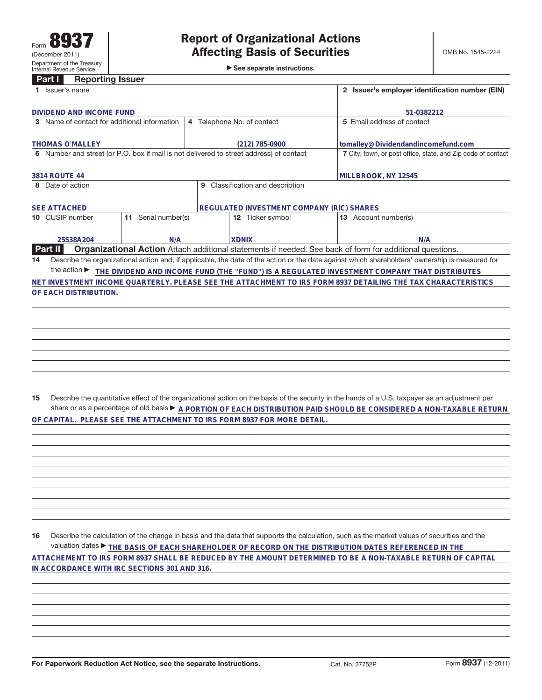►<br>► See separate instructions.

## **Part I Reporting Issuer**

| 1 Issuer's name                                                                         | 2 Issuer's employer identification number (EIN)  |                                                                                                                                                 |  |  |
|-----------------------------------------------------------------------------------------|--------------------------------------------------|-------------------------------------------------------------------------------------------------------------------------------------------------|--|--|
| DIVIDEND AND INCOME FUND                                                                |                                                  | 51-0382212                                                                                                                                      |  |  |
| 3 Name of contact for additional information                                            | 4 Telephone No. of contact                       | 5 Email address of contact                                                                                                                      |  |  |
| <b>THOMAS O'MALLEY</b>                                                                  | (212) 785-0900                                   | tomalley@Dividendandincomefund.com                                                                                                              |  |  |
| 6 Number and street (or P.O. box if mail is not delivered to street address) of contact |                                                  | 7 City, town, or post office, state, and Zip code of contact                                                                                    |  |  |
| 3814 ROUTE 44                                                                           | MILLBROOK, NY 12545                              |                                                                                                                                                 |  |  |
| Date of action                                                                          |                                                  |                                                                                                                                                 |  |  |
| <b>SEE ATTACHED</b>                                                                     | <b>REGULATED INVESTMENT COMPANY (RIC) SHARES</b> |                                                                                                                                                 |  |  |
| Serial number(s)<br>10 CUSIP number<br>11                                               | <b>12</b> Ticker symbol                          | 13 Account number(s)                                                                                                                            |  |  |
| 25538A204<br>N/A                                                                        | <b>XDNIX</b>                                     | N/A                                                                                                                                             |  |  |
| <b>Part II</b>                                                                          |                                                  | <b>Organizational Action</b> Attach additional statements if needed. See back of form for additional questions.                                 |  |  |
| 14                                                                                      |                                                  | Describe the organizational action and, if applicable, the date of the action or the date against which shareholders' ownership is measured for |  |  |
| the action $\blacktriangleright$                                                        |                                                  | THE DIVIDEND AND INCOME FUND (THE "FUND") IS A REGULATED INVESTMENT COMPANY THAT DISTRIBUTES                                                    |  |  |
|                                                                                         |                                                  | NET INVESTMENT INCOME QUARTERLY. PLEASE SEE THE ATTACHMENT TO IRS FORM 8937 DETAILING THE TAX CHARACTERISTICS                                   |  |  |
| OF EACH DISTRIBUTION.                                                                   |                                                  |                                                                                                                                                 |  |  |
|                                                                                         |                                                  |                                                                                                                                                 |  |  |
|                                                                                         |                                                  |                                                                                                                                                 |  |  |
|                                                                                         |                                                  |                                                                                                                                                 |  |  |
|                                                                                         |                                                  |                                                                                                                                                 |  |  |
|                                                                                         |                                                  |                                                                                                                                                 |  |  |

**15** Describe the quantitative effect of the organizational action on the basis of the security in the hands of a U.S. taxpayer as an adjustment per share or as a percentage of old basis  $\blacktriangleright$  A PORTION OF EACH DISTRIBUTION PAID SHOULD BE CONSIDERED A NON-TAXABLE RETURN **OF CAPITAL. PLEASE SEE THE ATTACHMENT TO IRS FORM 8937 FOR MORE DETAIL.**

**16** Describe the calculation of the change in basis and the data that supports the calculation, such as the market values of securities and the valuation dates ▶ THE BASIS OF EACH SHAREHOLDER OF RECORD ON THE DISTRIBUTION DATES REFERENCED IN THE **ATTACHEMENT TO IRS FORM 8937 SHALL BE REDUCED BY THE AMOUNT DETERMINED TO BE A NON-TAXABLE RETURN OF CAPITAL IN ACCORDANCE WITH IRC SECTIONS 301 AND 316.**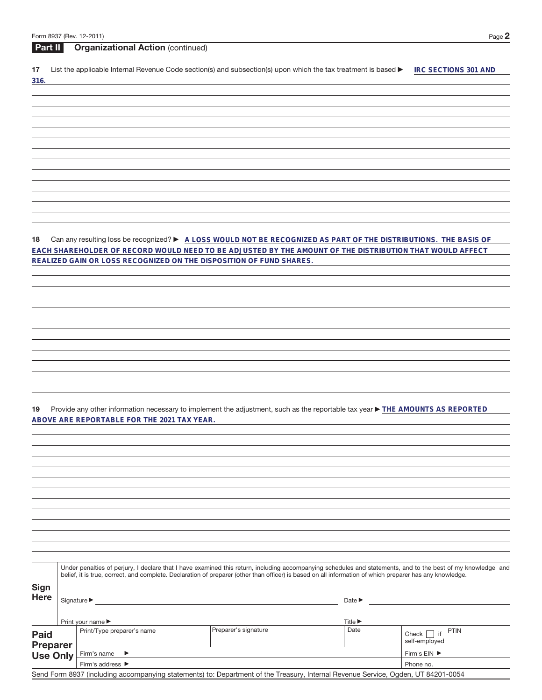| Form 8937 (Rev. 12-2011) |  |  |
|--------------------------|--|--|
|--------------------------|--|--|

|                | Form 8937 (Rev. 12-2011)<br>Page 2                                                                                                                                                                                                                                                                                       |
|----------------|--------------------------------------------------------------------------------------------------------------------------------------------------------------------------------------------------------------------------------------------------------------------------------------------------------------------------|
| <b>Part II</b> | <b>Organizational Action (continued)</b>                                                                                                                                                                                                                                                                                 |
| 17             | List the applicable Internal Revenue Code section(s) and subsection(s) upon which the tax treatment is based ▶<br>IRC SECTIONS 301 AND                                                                                                                                                                                   |
| 316.           |                                                                                                                                                                                                                                                                                                                          |
|                |                                                                                                                                                                                                                                                                                                                          |
|                |                                                                                                                                                                                                                                                                                                                          |
|                |                                                                                                                                                                                                                                                                                                                          |
|                |                                                                                                                                                                                                                                                                                                                          |
|                |                                                                                                                                                                                                                                                                                                                          |
|                |                                                                                                                                                                                                                                                                                                                          |
|                |                                                                                                                                                                                                                                                                                                                          |
|                |                                                                                                                                                                                                                                                                                                                          |
|                |                                                                                                                                                                                                                                                                                                                          |
| 18             | Can any resulting loss be recognized? ► A LOSS WOULD NOT BE RECOGNIZED AS PART OF THE DISTRIBUTIONS. THE BASIS OF<br>EACH SHAREHOLDER OF RECORD WOULD NEED TO BE ADJUSTED BY THE AMOUNT OF THE DISTRIBUTION THAT WOULD AFFECT                                                                                            |
|                | REALIZED GAIN OR LOSS RECOGNIZED ON THE DISPOSITION OF FUND SHARES.                                                                                                                                                                                                                                                      |
|                |                                                                                                                                                                                                                                                                                                                          |
|                |                                                                                                                                                                                                                                                                                                                          |
|                |                                                                                                                                                                                                                                                                                                                          |
|                |                                                                                                                                                                                                                                                                                                                          |
|                |                                                                                                                                                                                                                                                                                                                          |
|                |                                                                                                                                                                                                                                                                                                                          |
|                |                                                                                                                                                                                                                                                                                                                          |
|                |                                                                                                                                                                                                                                                                                                                          |
|                |                                                                                                                                                                                                                                                                                                                          |
| 19             | Provide any other information necessary to implement the adjustment, such as the reportable tax year ▶ THE AMOUNTS AS REPORTED                                                                                                                                                                                           |
|                | ABOVE ARE REPORTABLE FOR THE 2021 TAX YEAR.                                                                                                                                                                                                                                                                              |
|                |                                                                                                                                                                                                                                                                                                                          |
|                |                                                                                                                                                                                                                                                                                                                          |
|                |                                                                                                                                                                                                                                                                                                                          |
|                |                                                                                                                                                                                                                                                                                                                          |
|                |                                                                                                                                                                                                                                                                                                                          |
|                |                                                                                                                                                                                                                                                                                                                          |
|                |                                                                                                                                                                                                                                                                                                                          |
|                |                                                                                                                                                                                                                                                                                                                          |
|                |                                                                                                                                                                                                                                                                                                                          |
|                |                                                                                                                                                                                                                                                                                                                          |
|                | Under penalties of perjury, I declare that I have examined this return, including accompanying schedules and statements, and to the best of my knowledge and<br>belief, it is true, correct, and complete. Declaration of preparer (other than officer) is based on all information of which preparer has any knowledge. |
| Sign           |                                                                                                                                                                                                                                                                                                                          |
| <b>Here</b>    | Date $\triangleright$                                                                                                                                                                                                                                                                                                    |
|                |                                                                                                                                                                                                                                                                                                                          |

|                                                                                                                                   | Print your name $\blacktriangleright$ |                      | Title $\blacktriangleright$ |                                                   |  |
|-----------------------------------------------------------------------------------------------------------------------------------|---------------------------------------|----------------------|-----------------------------|---------------------------------------------------|--|
| <b>Paid</b><br><b>Preparer</b><br>Use Only                                                                                        | Print/Type preparer's name            | Preparer's signature | Date                        | $ +$ $\uparrow$ if PTIN<br>Check<br>self-emploved |  |
|                                                                                                                                   | Firm's name $\blacktriangleright$     |                      |                             |                                                   |  |
|                                                                                                                                   | Firm's address $\blacktriangleright$  | Phone no.            |                             |                                                   |  |
| Send Form 8937 (including accompanying statements) to: Department of the Treasury, Internal Revenue Service, Ogden, UT 84201-0054 |                                       |                      |                             |                                                   |  |